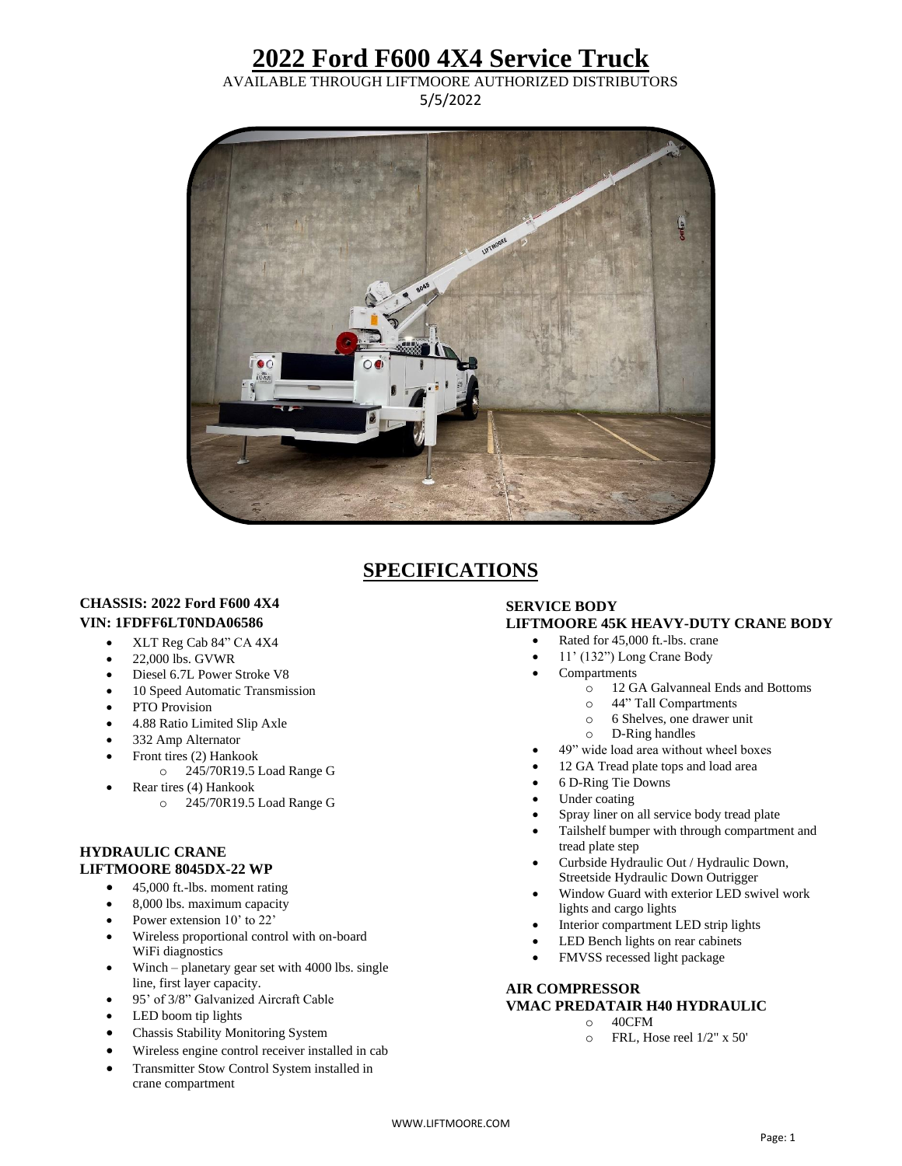## **2022 Ford F600 4X4 Service Truck**

AVAILABLE THROUGH LIFTMOORE AUTHORIZED DISTRIBUTORS 5/5/2022



### **SPECIFICATIONS**

#### **CHASSIS: 2022 Ford F600 4X4 VIN: 1FDFF6LT0NDA06586**

- XLT Reg Cab 84" CA 4X4
- 22,000 lbs. GVWR
- Diesel 6.7L Power Stroke V8
- 10 Speed Automatic Transmission
- PTO Provision
- 4.88 Ratio Limited Slip Axle
- 332 Amp Alternator
- Front tires (2) Hankook
	- o 245/70R19.5 Load Range G
- Rear tires (4) Hankook
	- o 245/70R19.5 Load Range G

#### **HYDRAULIC CRANE LIFTMOORE 8045DX-22 WP**

- 45,000 ft.-lbs. moment rating
- 8,000 lbs. maximum capacity
- Power extension 10' to 22'
- Wireless proportional control with on-board WiFi diagnostics
- Winch planetary gear set with 4000 lbs. single line, first layer capacity.
- 95' of 3/8" Galvanized Aircraft Cable
- LED boom tip lights
- Chassis Stability Monitoring System
- Wireless engine control receiver installed in cab
- Transmitter Stow Control System installed in crane compartment

#### **SERVICE BODY LIFTMOORE 45K HEAVY-DUTY CRANE BODY**

- Rated for 45,000 ft.-lbs. crane
- 11' (132") Long Crane Body
- **Compartments** 
	- o 12 GA Galvanneal Ends and Bottoms
	- o 44" Tall Compartments
	- o 6 Shelves, one drawer unit
	- o D-Ring handles
- 49" wide load area without wheel boxes
- 12 GA Tread plate tops and load area
- 6 D-Ring Tie Downs
- Under coating
- Spray liner on all service body tread plate
- Tailshelf bumper with through compartment and tread plate step
- Curbside Hydraulic Out / Hydraulic Down, Streetside Hydraulic Down Outrigger
- Window Guard with exterior LED swivel work lights and cargo lights
- Interior compartment LED strip lights
- LED Bench lights on rear cabinets
- FMVSS recessed light package

#### **AIR COMPRESSOR VMAC PREDATAIR H40 HYDRAULIC**

- o 40CFM
- o FRL, Hose reel 1/2" x 50'